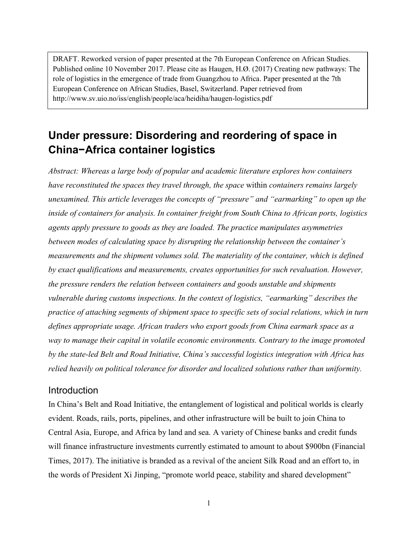DRAFT. Reworked version of paper presented at the 7th European Conference on African Studies. Published online 10 November 2017. Please cite as Haugen, H.Ø. (2017) Creating new pathways: The role of logistics in the emergence of trade from Guangzhou to Africa. Paper presented at the 7th European Conference on African Studies, Basel, Switzerland. Paper retrieved from http://www.sv.uio.no/iss/english/people/aca/heidiha/haugen-logistics.pdf

# **Under pressure: Disordering and reordering of space in China−Africa container logistics**

*Abstract: Whereas a large body of popular and academic literature explores how containers have reconstituted the spaces they travel through, the space* within *containers remains largely unexamined. This article leverages the concepts of "pressure" and "earmarking" to open up the inside of containers for analysis. In container freight from South China to African ports, logistics agents apply pressure to goods as they are loaded. The practice manipulates asymmetries between modes of calculating space by disrupting the relationship between the container's measurements and the shipment volumes sold. The materiality of the container, which is defined by exact qualifications and measurements, creates opportunities for such revaluation. However, the pressure renders the relation between containers and goods unstable and shipments vulnerable during customs inspections. In the context of logistics, "earmarking" describes the practice of attaching segments of shipment space to specific sets of social relations, which in turn defines appropriate usage. African traders who export goods from China earmark space as a way to manage their capital in volatile economic environments. Contrary to the image promoted by the state-led Belt and Road Initiative, China's successful logistics integration with Africa has relied heavily on political tolerance for disorder and localized solutions rather than uniformity.*

## **Introduction**

In China's Belt and Road Initiative, the entanglement of logistical and political worlds is clearly evident. Roads, rails, ports, pipelines, and other infrastructure will be built to join China to Central Asia, Europe, and Africa by land and sea. A variety of Chinese banks and credit funds will finance infrastructure investments currently estimated to amount to about \$900bn (Financial Times, 2017). The initiative is branded as a revival of the ancient Silk Road and an effort to, in the words of President Xi Jinping, "promote world peace, stability and shared development"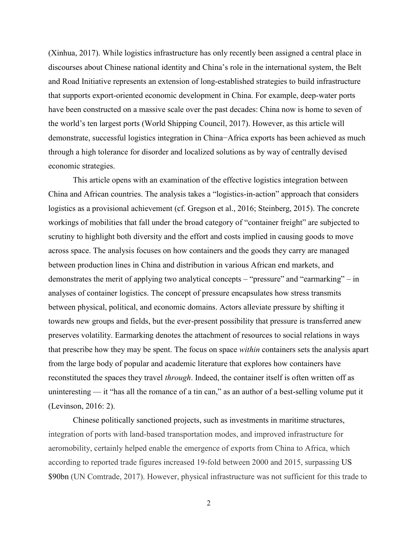(Xinhua, 2017). While logistics infrastructure has only recently been assigned a central place in discourses about Chinese national identity and China's role in the international system, the Belt and Road Initiative represents an extension of long-established strategies to build infrastructure that supports export-oriented economic development in China. For example, deep-water ports have been constructed on a massive scale over the past decades: China now is home to seven of the world's ten largest ports (World Shipping Council, 2017). However, as this article will demonstrate, successful logistics integration in China−Africa exports has been achieved as much through a high tolerance for disorder and localized solutions as by way of centrally devised economic strategies.

This article opens with an examination of the effective logistics integration between China and African countries. The analysis takes a "logistics-in-action" approach that considers logistics as a provisional achievement (cf. Gregson et al., 2016; Steinberg, 2015). The concrete workings of mobilities that fall under the broad category of "container freight" are subjected to scrutiny to highlight both diversity and the effort and costs implied in causing goods to move across space. The analysis focuses on how containers and the goods they carry are managed between production lines in China and distribution in various African end markets, and demonstrates the merit of applying two analytical concepts – "pressure" and "earmarking" – in analyses of container logistics. The concept of pressure encapsulates how stress transmits between physical, political, and economic domains. Actors alleviate pressure by shifting it towards new groups and fields, but the ever-present possibility that pressure is transferred anew preserves volatility. Earmarking denotes the attachment of resources to social relations in ways that prescribe how they may be spent. The focus on space *within* containers sets the analysis apart from the large body of popular and academic literature that explores how containers have reconstituted the spaces they travel *through*. Indeed, the container itself is often written off as uninteresting — it "has all the romance of a tin can," as an author of a best-selling volume put it (Levinson, 2016: 2).

Chinese politically sanctioned projects, such as investments in maritime structures, integration of ports with land-based transportation modes, and improved infrastructure for aeromobility, certainly helped enable the emergence of exports from China to Africa, which according to reported trade figures increased 19-fold between 2000 and 2015, surpassing US \$90bn (UN Comtrade, 2017). However, physical infrastructure was not sufficient for this trade to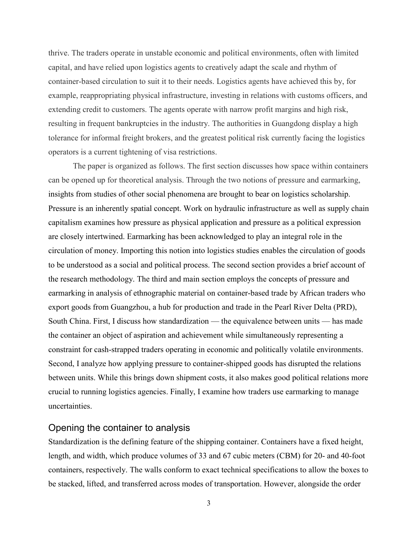thrive. The traders operate in unstable economic and political environments, often with limited capital, and have relied upon logistics agents to creatively adapt the scale and rhythm of container-based circulation to suit it to their needs. Logistics agents have achieved this by, for example, reappropriating physical infrastructure, investing in relations with customs officers, and extending credit to customers. The agents operate with narrow profit margins and high risk, resulting in frequent bankruptcies in the industry. The authorities in Guangdong display a high tolerance for informal freight brokers, and the greatest political risk currently facing the logistics operators is a current tightening of visa restrictions.

The paper is organized as follows. The first section discusses how space within containers can be opened up for theoretical analysis. Through the two notions of pressure and earmarking, insights from studies of other social phenomena are brought to bear on logistics scholarship. Pressure is an inherently spatial concept. Work on hydraulic infrastructure as well as supply chain capitalism examines how pressure as physical application and pressure as a political expression are closely intertwined. Earmarking has been acknowledged to play an integral role in the circulation of money. Importing this notion into logistics studies enables the circulation of goods to be understood as a social and political process. The second section provides a brief account of the research methodology. The third and main section employs the concepts of pressure and earmarking in analysis of ethnographic material on container-based trade by African traders who export goods from Guangzhou, a hub for production and trade in the Pearl River Delta (PRD), South China. First, I discuss how standardization — the equivalence between units — has made the container an object of aspiration and achievement while simultaneously representing a constraint for cash-strapped traders operating in economic and politically volatile environments. Second, I analyze how applying pressure to container-shipped goods has disrupted the relations between units. While this brings down shipment costs, it also makes good political relations more crucial to running logistics agencies. Finally, I examine how traders use earmarking to manage uncertainties.

## Opening the container to analysis

Standardization is the defining feature of the shipping container. Containers have a fixed height, length, and width, which produce volumes of 33 and 67 cubic meters (CBM) for 20- and 40-foot containers, respectively. The walls conform to exact technical specifications to allow the boxes to be stacked, lifted, and transferred across modes of transportation. However, alongside the order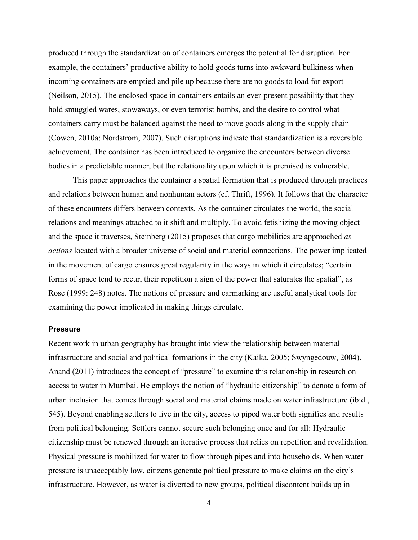produced through the standardization of containers emerges the potential for disruption. For example, the containers' productive ability to hold goods turns into awkward bulkiness when incoming containers are emptied and pile up because there are no goods to load for export (Neilson, 2015). The enclosed space in containers entails an ever-present possibility that they hold smuggled wares, stowaways, or even terrorist bombs, and the desire to control what containers carry must be balanced against the need to move goods along in the supply chain (Cowen, 2010a; Nordstrom, 2007). Such disruptions indicate that standardization is a reversible achievement. The container has been introduced to organize the encounters between diverse bodies in a predictable manner, but the relationality upon which it is premised is vulnerable.

This paper approaches the container a spatial formation that is produced through practices and relations between human and nonhuman actors (cf. Thrift, 1996). It follows that the character of these encounters differs between contexts. As the container circulates the world, the social relations and meanings attached to it shift and multiply. To avoid fetishizing the moving object and the space it traverses, Steinberg (2015) proposes that cargo mobilities are approached *as actions* located with a broader universe of social and material connections. The power implicated in the movement of cargo ensures great regularity in the ways in which it circulates; "certain forms of space tend to recur, their repetition a sign of the power that saturates the spatial", as Rose (1999: 248) notes. The notions of pressure and earmarking are useful analytical tools for examining the power implicated in making things circulate.

#### **Pressure**

Recent work in urban geography has brought into view the relationship between material infrastructure and social and political formations in the city (Kaika, 2005; Swyngedouw, 2004). Anand (2011) introduces the concept of "pressure" to examine this relationship in research on access to water in Mumbai. He employs the notion of "hydraulic citizenship" to denote a form of urban inclusion that comes through social and material claims made on water infrastructure (ibid., 545). Beyond enabling settlers to live in the city, access to piped water both signifies and results from political belonging. Settlers cannot secure such belonging once and for all: Hydraulic citizenship must be renewed through an iterative process that relies on repetition and revalidation. Physical pressure is mobilized for water to flow through pipes and into households. When water pressure is unacceptably low, citizens generate political pressure to make claims on the city's infrastructure. However, as water is diverted to new groups, political discontent builds up in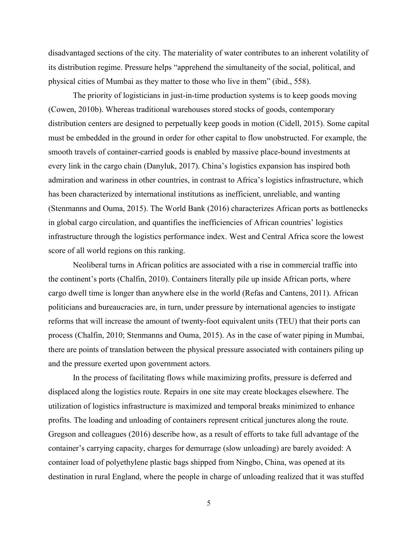disadvantaged sections of the city. The materiality of water contributes to an inherent volatility of its distribution regime. Pressure helps "apprehend the simultaneity of the social, political, and physical cities of Mumbai as they matter to those who live in them" (ibid., 558).

The priority of logisticians in just-in-time production systems is to keep goods moving (Cowen, 2010b). Whereas traditional warehouses stored stocks of goods, contemporary distribution centers are designed to perpetually keep goods in motion (Cidell, 2015). Some capital must be embedded in the ground in order for other capital to flow unobstructed. For example, the smooth travels of container-carried goods is enabled by massive place-bound investments at every link in the cargo chain (Danyluk, 2017). China's logistics expansion has inspired both admiration and wariness in other countries, in contrast to Africa's logistics infrastructure, which has been characterized by international institutions as inefficient, unreliable, and wanting (Stenmanns and Ouma, 2015). The World Bank (2016) characterizes African ports as bottlenecks in global cargo circulation, and quantifies the inefficiencies of African countries' logistics infrastructure through the logistics performance index. West and Central Africa score the lowest score of all world regions on this ranking.

Neoliberal turns in African politics are associated with a rise in commercial traffic into the continent's ports (Chalfin, 2010). Containers literally pile up inside African ports, where cargo dwell time is longer than anywhere else in the world (Refas and Cantens, 2011). African politicians and bureaucracies are, in turn, under pressure by international agencies to instigate reforms that will increase the amount of twenty-foot equivalent units (TEU) that their ports can process (Chalfin, 2010; Stenmanns and Ouma, 2015). As in the case of water piping in Mumbai, there are points of translation between the physical pressure associated with containers piling up and the pressure exerted upon government actors.

In the process of facilitating flows while maximizing profits, pressure is deferred and displaced along the logistics route. Repairs in one site may create blockages elsewhere. The utilization of logistics infrastructure is maximized and temporal breaks minimized to enhance profits. The loading and unloading of containers represent critical junctures along the route. Gregson and colleagues (2016) describe how, as a result of efforts to take full advantage of the container's carrying capacity, charges for demurrage (slow unloading) are barely avoided: A container load of polyethylene plastic bags shipped from Ningbo, China, was opened at its destination in rural England, where the people in charge of unloading realized that it was stuffed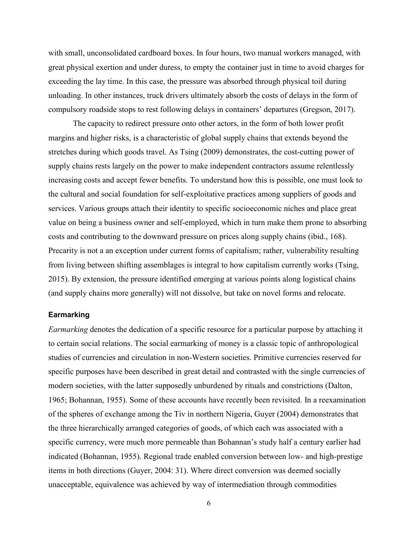with small, unconsolidated cardboard boxes. In four hours, two manual workers managed, with great physical exertion and under duress, to empty the container just in time to avoid charges for exceeding the lay time. In this case, the pressure was absorbed through physical toil during unloading. In other instances, truck drivers ultimately absorb the costs of delays in the form of compulsory roadside stops to rest following delays in containers' departures (Gregson, 2017).

The capacity to redirect pressure onto other actors, in the form of both lower profit margins and higher risks, is a characteristic of global supply chains that extends beyond the stretches during which goods travel. As Tsing (2009) demonstrates, the cost-cutting power of supply chains rests largely on the power to make independent contractors assume relentlessly increasing costs and accept fewer benefits. To understand how this is possible, one must look to the cultural and social foundation for self-exploitative practices among suppliers of goods and services. Various groups attach their identity to specific socioeconomic niches and place great value on being a business owner and self-employed, which in turn make them prone to absorbing costs and contributing to the downward pressure on prices along supply chains (ibid., 168). Precarity is not a an exception under current forms of capitalism; rather, vulnerability resulting from living between shifting assemblages is integral to how capitalism currently works (Tsing, 2015). By extension, the pressure identified emerging at various points along logistical chains (and supply chains more generally) will not dissolve, but take on novel forms and relocate.

#### **Earmarking**

*Earmarking* denotes the dedication of a specific resource for a particular purpose by attaching it to certain social relations. The social earmarking of money is a classic topic of anthropological studies of currencies and circulation in non-Western societies. Primitive currencies reserved for specific purposes have been described in great detail and contrasted with the single currencies of modern societies, with the latter supposedly unburdened by rituals and constrictions (Dalton, 1965; Bohannan, 1955). Some of these accounts have recently been revisited. In a reexamination of the spheres of exchange among the Tiv in northern Nigeria, Guyer (2004) demonstrates that the three hierarchically arranged categories of goods, of which each was associated with a specific currency, were much more permeable than Bohannan's study half a century earlier had indicated (Bohannan, 1955). Regional trade enabled conversion between low- and high-prestige items in both directions (Guyer, 2004: 31). Where direct conversion was deemed socially unacceptable, equivalence was achieved by way of intermediation through commodities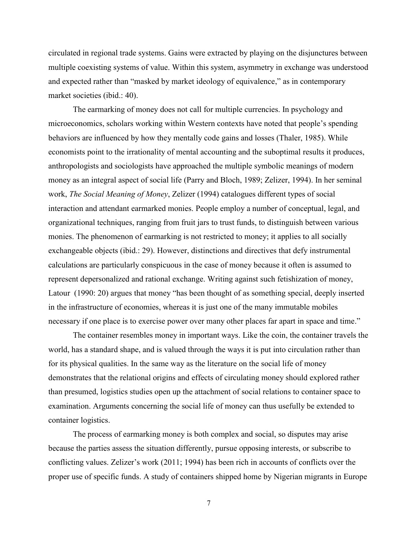circulated in regional trade systems. Gains were extracted by playing on the disjunctures between multiple coexisting systems of value. Within this system, asymmetry in exchange was understood and expected rather than "masked by market ideology of equivalence," as in contemporary market societies (ibid.: 40).

The earmarking of money does not call for multiple currencies. In psychology and microeconomics, scholars working within Western contexts have noted that people's spending behaviors are influenced by how they mentally code gains and losses (Thaler, 1985). While economists point to the irrationality of mental accounting and the suboptimal results it produces, anthropologists and sociologists have approached the multiple symbolic meanings of modern money as an integral aspect of social life (Parry and Bloch, 1989; Zelizer, 1994). In her seminal work, *The Social Meaning of Money*, Zelizer (1994) catalogues different types of social interaction and attendant earmarked monies. People employ a number of conceptual, legal, and organizational techniques, ranging from fruit jars to trust funds, to distinguish between various monies. The phenomenon of earmarking is not restricted to money; it applies to all socially exchangeable objects (ibid.: 29). However, distinctions and directives that defy instrumental calculations are particularly conspicuous in the case of money because it often is assumed to represent depersonalized and rational exchange. Writing against such fetishization of money, Latour (1990: 20) argues that money "has been thought of as something special, deeply inserted in the infrastructure of economies, whereas it is just one of the many immutable mobiles necessary if one place is to exercise power over many other places far apart in space and time."

The container resembles money in important ways. Like the coin, the container travels the world, has a standard shape, and is valued through the ways it is put into circulation rather than for its physical qualities. In the same way as the literature on the social life of money demonstrates that the relational origins and effects of circulating money should explored rather than presumed, logistics studies open up the attachment of social relations to container space to examination. Arguments concerning the social life of money can thus usefully be extended to container logistics.

The process of earmarking money is both complex and social, so disputes may arise because the parties assess the situation differently, pursue opposing interests, or subscribe to conflicting values. Zelizer's work (2011; 1994) has been rich in accounts of conflicts over the proper use of specific funds. A study of containers shipped home by Nigerian migrants in Europe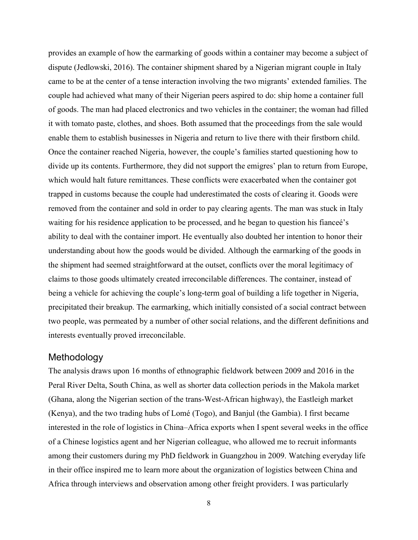provides an example of how the earmarking of goods within a container may become a subject of dispute (Jedlowski, 2016). The container shipment shared by a Nigerian migrant couple in Italy came to be at the center of a tense interaction involving the two migrants' extended families. The couple had achieved what many of their Nigerian peers aspired to do: ship home a container full of goods. The man had placed electronics and two vehicles in the container; the woman had filled it with tomato paste, clothes, and shoes. Both assumed that the proceedings from the sale would enable them to establish businesses in Nigeria and return to live there with their firstborn child. Once the container reached Nigeria, however, the couple's families started questioning how to divide up its contents. Furthermore, they did not support the emigres' plan to return from Europe, which would halt future remittances. These conflicts were exacerbated when the container got trapped in customs because the couple had underestimated the costs of clearing it. Goods were removed from the container and sold in order to pay clearing agents. The man was stuck in Italy waiting for his residence application to be processed, and he began to question his fianceé's ability to deal with the container import. He eventually also doubted her intention to honor their understanding about how the goods would be divided. Although the earmarking of the goods in the shipment had seemed straightforward at the outset, conflicts over the moral legitimacy of claims to those goods ultimately created irreconcilable differences. The container, instead of being a vehicle for achieving the couple's long-term goal of building a life together in Nigeria, precipitated their breakup. The earmarking, which initially consisted of a social contract between two people, was permeated by a number of other social relations, and the different definitions and interests eventually proved irreconcilable.

## **Methodology**

The analysis draws upon 16 months of ethnographic fieldwork between 2009 and 2016 in the Peral River Delta, South China, as well as shorter data collection periods in the Makola market (Ghana, along the Nigerian section of the trans-West-African highway), the Eastleigh market (Kenya), and the two trading hubs of Lomé (Togo), and Banjul (the Gambia). I first became interested in the role of logistics in China–Africa exports when I spent several weeks in the office of a Chinese logistics agent and her Nigerian colleague, who allowed me to recruit informants among their customers during my PhD fieldwork in Guangzhou in 2009. Watching everyday life in their office inspired me to learn more about the organization of logistics between China and Africa through interviews and observation among other freight providers. I was particularly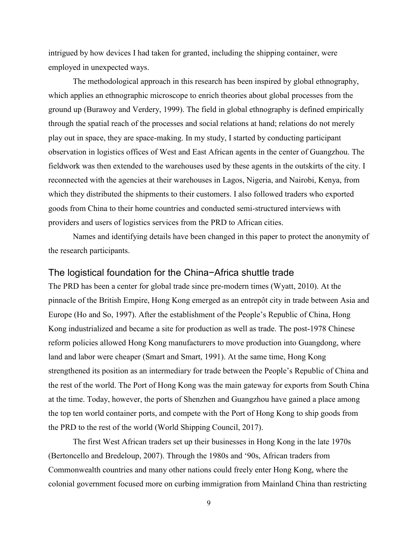intrigued by how devices I had taken for granted, including the shipping container, were employed in unexpected ways.

The methodological approach in this research has been inspired by global ethnography, which applies an ethnographic microscope to enrich theories about global processes from the ground up (Burawoy and Verdery, 1999). The field in global ethnography is defined empirically through the spatial reach of the processes and social relations at hand; relations do not merely play out in space, they are space-making. In my study, I started by conducting participant observation in logistics offices of West and East African agents in the center of Guangzhou. The fieldwork was then extended to the warehouses used by these agents in the outskirts of the city. I reconnected with the agencies at their warehouses in Lagos, Nigeria, and Nairobi, Kenya, from which they distributed the shipments to their customers. I also followed traders who exported goods from China to their home countries and conducted semi-structured interviews with providers and users of logistics services from the PRD to African cities.

Names and identifying details have been changed in this paper to protect the anonymity of the research participants.

## The logistical foundation for the China−Africa shuttle trade

The PRD has been a center for global trade since pre-modern times (Wyatt, 2010). At the pinnacle of the British Empire, Hong Kong emerged as an entrepôt city in trade between Asia and Europe (Ho and So, 1997). After the establishment of the People's Republic of China, Hong Kong industrialized and became a site for production as well as trade. The post-1978 Chinese reform policies allowed Hong Kong manufacturers to move production into Guangdong, where land and labor were cheaper (Smart and Smart, 1991). At the same time, Hong Kong strengthened its position as an intermediary for trade between the People's Republic of China and the rest of the world. The Port of Hong Kong was the main gateway for exports from South China at the time. Today, however, the ports of Shenzhen and Guangzhou have gained a place among the top ten world container ports, and compete with the Port of Hong Kong to ship goods from the PRD to the rest of the world (World Shipping Council, 2017).

The first West African traders set up their businesses in Hong Kong in the late 1970s (Bertoncello and Bredeloup, 2007). Through the 1980s and '90s, African traders from Commonwealth countries and many other nations could freely enter Hong Kong, where the colonial government focused more on curbing immigration from Mainland China than restricting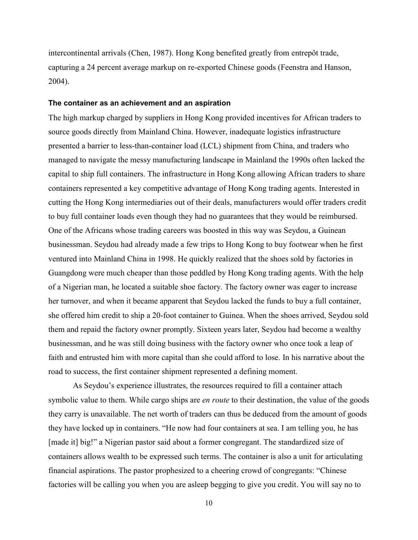intercontinental arrivals (Chen, 1987). Hong Kong benefited greatly from entrepôt trade, capturing a 24 percent average markup on re-exported Chinese goods (Feenstra and Hanson, 2004).

#### **The container as an achievement and an aspiration**

The high markup charged by suppliers in Hong Kong provided incentives for African traders to source goods directly from Mainland China. However, inadequate logistics infrastructure presented a barrier to less-than-container load (LCL) shipment from China, and traders who managed to navigate the messy manufacturing landscape in Mainland the 1990s often lacked the capital to ship full containers. The infrastructure in Hong Kong allowing African traders to share containers represented a key competitive advantage of Hong Kong trading agents. Interested in cutting the Hong Kong intermediaries out of their deals, manufacturers would offer traders credit to buy full container loads even though they had no guarantees that they would be reimbursed. One of the Africans whose trading careers was boosted in this way was Seydou, a Guinean businessman. Seydou had already made a few trips to Hong Kong to buy footwear when he first ventured into Mainland China in 1998. He quickly realized that the shoes sold by factories in Guangdong were much cheaper than those peddled by Hong Kong trading agents. With the help of a Nigerian man, he located a suitable shoe factory. The factory owner was eager to increase her turnover, and when it became apparent that Seydou lacked the funds to buy a full container, she offered him credit to ship a 20-foot container to Guinea. When the shoes arrived, Seydou sold them and repaid the factory owner promptly. Sixteen years later, Seydou had become a wealthy businessman, and he was still doing business with the factory owner who once took a leap of faith and entrusted him with more capital than she could afford to lose. In his narrative about the road to success, the first container shipment represented a defining moment.

As Seydou's experience illustrates, the resources required to fill a container attach symbolic value to them. While cargo ships are *en route* to their destination, the value of the goods they carry is unavailable. The net worth of traders can thus be deduced from the amount of goods they have locked up in containers. "He now had four containers at sea. I am telling you, he has [made it] big!" a Nigerian pastor said about a former congregant. The standardized size of containers allows wealth to be expressed such terms. The container is also a unit for articulating financial aspirations. The pastor prophesized to a cheering crowd of congregants: "Chinese factories will be calling you when you are asleep begging to give you credit. You will say no to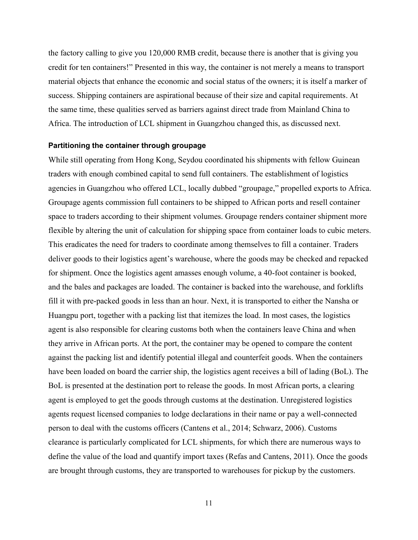the factory calling to give you 120,000 RMB credit, because there is another that is giving you credit for ten containers!" Presented in this way, the container is not merely a means to transport material objects that enhance the economic and social status of the owners; it is itself a marker of success. Shipping containers are aspirational because of their size and capital requirements. At the same time, these qualities served as barriers against direct trade from Mainland China to Africa. The introduction of LCL shipment in Guangzhou changed this, as discussed next.

#### **Partitioning the container through groupage**

While still operating from Hong Kong, Seydou coordinated his shipments with fellow Guinean traders with enough combined capital to send full containers. The establishment of logistics agencies in Guangzhou who offered LCL, locally dubbed "groupage," propelled exports to Africa. Groupage agents commission full containers to be shipped to African ports and resell container space to traders according to their shipment volumes. Groupage renders container shipment more flexible by altering the unit of calculation for shipping space from container loads to cubic meters. This eradicates the need for traders to coordinate among themselves to fill a container. Traders deliver goods to their logistics agent's warehouse, where the goods may be checked and repacked for shipment. Once the logistics agent amasses enough volume, a 40-foot container is booked, and the bales and packages are loaded. The container is backed into the warehouse, and forklifts fill it with pre-packed goods in less than an hour. Next, it is transported to either the Nansha or Huangpu port, together with a packing list that itemizes the load. In most cases, the logistics agent is also responsible for clearing customs both when the containers leave China and when they arrive in African ports. At the port, the container may be opened to compare the content against the packing list and identify potential illegal and counterfeit goods. When the containers have been loaded on board the carrier ship, the logistics agent receives a bill of lading (BoL). The BoL is presented at the destination port to release the goods. In most African ports, a clearing agent is employed to get the goods through customs at the destination. Unregistered logistics agents request licensed companies to lodge declarations in their name or pay a well-connected person to deal with the customs officers (Cantens et al., 2014; Schwarz, 2006). Customs clearance is particularly complicated for LCL shipments, for which there are numerous ways to define the value of the load and quantify import taxes (Refas and Cantens, 2011). Once the goods are brought through customs, they are transported to warehouses for pickup by the customers.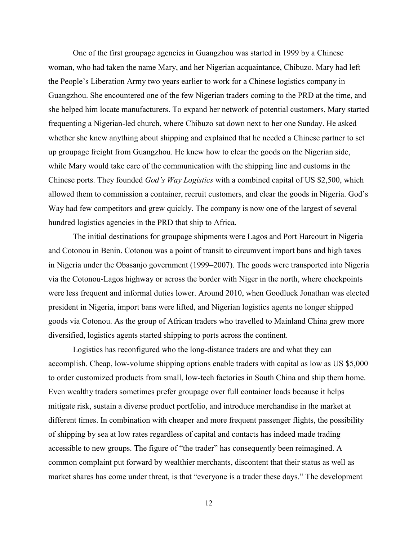One of the first groupage agencies in Guangzhou was started in 1999 by a Chinese woman, who had taken the name Mary, and her Nigerian acquaintance, Chibuzo. Mary had left the People's Liberation Army two years earlier to work for a Chinese logistics company in Guangzhou. She encountered one of the few Nigerian traders coming to the PRD at the time, and she helped him locate manufacturers. To expand her network of potential customers, Mary started frequenting a Nigerian-led church, where Chibuzo sat down next to her one Sunday. He asked whether she knew anything about shipping and explained that he needed a Chinese partner to set up groupage freight from Guangzhou. He knew how to clear the goods on the Nigerian side, while Mary would take care of the communication with the shipping line and customs in the Chinese ports. They founded *God's Way Logistics* with a combined capital of US \$2,500, which allowed them to commission a container, recruit customers, and clear the goods in Nigeria. God's Way had few competitors and grew quickly. The company is now one of the largest of several hundred logistics agencies in the PRD that ship to Africa.

The initial destinations for groupage shipments were Lagos and Port Harcourt in Nigeria and Cotonou in Benin. Cotonou was a point of transit to circumvent import bans and high taxes in Nigeria under the Obasanjo government (1999–2007). The goods were transported into Nigeria via the Cotonou-Lagos highway or across the border with Niger in the north, where checkpoints were less frequent and informal duties lower. Around 2010, when Goodluck Jonathan was elected president in Nigeria, import bans were lifted, and Nigerian logistics agents no longer shipped goods via Cotonou. As the group of African traders who travelled to Mainland China grew more diversified, logistics agents started shipping to ports across the continent.

Logistics has reconfigured who the long-distance traders are and what they can accomplish. Cheap, low-volume shipping options enable traders with capital as low as US \$5,000 to order customized products from small, low-tech factories in South China and ship them home. Even wealthy traders sometimes prefer groupage over full container loads because it helps mitigate risk, sustain a diverse product portfolio, and introduce merchandise in the market at different times. In combination with cheaper and more frequent passenger flights, the possibility of shipping by sea at low rates regardless of capital and contacts has indeed made trading accessible to new groups. The figure of "the trader" has consequently been reimagined. A common complaint put forward by wealthier merchants, discontent that their status as well as market shares has come under threat, is that "everyone is a trader these days." The development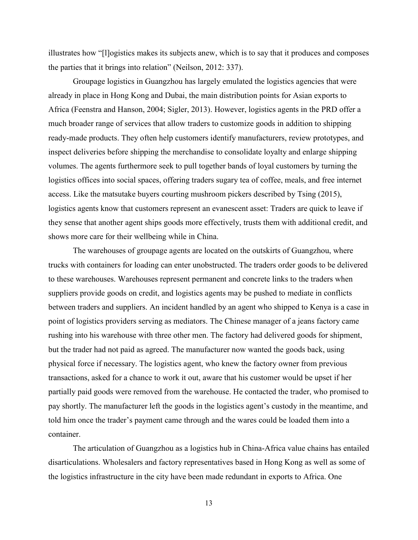illustrates how "[l]ogistics makes its subjects anew, which is to say that it produces and composes the parties that it brings into relation" (Neilson, 2012: 337).

Groupage logistics in Guangzhou has largely emulated the logistics agencies that were already in place in Hong Kong and Dubai, the main distribution points for Asian exports to Africa (Feenstra and Hanson, 2004; Sigler, 2013). However, logistics agents in the PRD offer a much broader range of services that allow traders to customize goods in addition to shipping ready-made products. They often help customers identify manufacturers, review prototypes, and inspect deliveries before shipping the merchandise to consolidate loyalty and enlarge shipping volumes. The agents furthermore seek to pull together bands of loyal customers by turning the logistics offices into social spaces, offering traders sugary tea of coffee, meals, and free internet access. Like the matsutake buyers courting mushroom pickers described by Tsing (2015), logistics agents know that customers represent an evanescent asset: Traders are quick to leave if they sense that another agent ships goods more effectively, trusts them with additional credit, and shows more care for their wellbeing while in China.

The warehouses of groupage agents are located on the outskirts of Guangzhou, where trucks with containers for loading can enter unobstructed. The traders order goods to be delivered to these warehouses. Warehouses represent permanent and concrete links to the traders when suppliers provide goods on credit, and logistics agents may be pushed to mediate in conflicts between traders and suppliers. An incident handled by an agent who shipped to Kenya is a case in point of logistics providers serving as mediators. The Chinese manager of a jeans factory came rushing into his warehouse with three other men. The factory had delivered goods for shipment, but the trader had not paid as agreed. The manufacturer now wanted the goods back, using physical force if necessary. The logistics agent, who knew the factory owner from previous transactions, asked for a chance to work it out, aware that his customer would be upset if her partially paid goods were removed from the warehouse. He contacted the trader, who promised to pay shortly. The manufacturer left the goods in the logistics agent's custody in the meantime, and told him once the trader's payment came through and the wares could be loaded them into a container.

The articulation of Guangzhou as a logistics hub in China-Africa value chains has entailed disarticulations. Wholesalers and factory representatives based in Hong Kong as well as some of the logistics infrastructure in the city have been made redundant in exports to Africa. One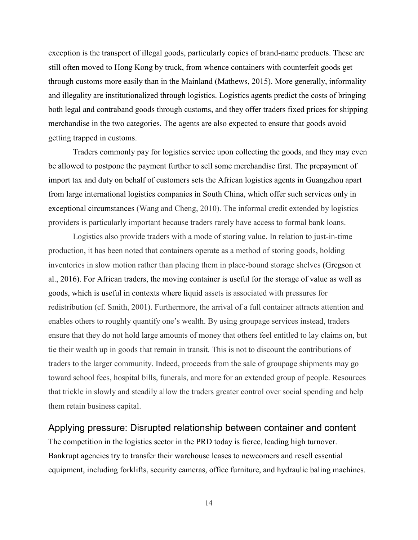exception is the transport of illegal goods, particularly copies of brand-name products. These are still often moved to Hong Kong by truck, from whence containers with counterfeit goods get through customs more easily than in the Mainland (Mathews, 2015). More generally, informality and illegality are institutionalized through logistics. Logistics agents predict the costs of bringing both legal and contraband goods through customs, and they offer traders fixed prices for shipping merchandise in the two categories. The agents are also expected to ensure that goods avoid getting trapped in customs.

Traders commonly pay for logistics service upon collecting the goods, and they may even be allowed to postpone the payment further to sell some merchandise first. The prepayment of import tax and duty on behalf of customers sets the African logistics agents in Guangzhou apart from large international logistics companies in South China, which offer such services only in exceptional circumstances (Wang and Cheng, 2010). The informal credit extended by logistics providers is particularly important because traders rarely have access to formal bank loans.

Logistics also provide traders with a mode of storing value. In relation to just-in-time production, it has been noted that containers operate as a method of storing goods, holding inventories in slow motion rather than placing them in place-bound storage shelves (Gregson et al., 2016). For African traders, the moving container is useful for the storage of value as well as goods, which is useful in contexts where liquid assets is associated with pressures for redistribution (cf. Smith, 2001). Furthermore, the arrival of a full container attracts attention and enables others to roughly quantify one's wealth. By using groupage services instead, traders ensure that they do not hold large amounts of money that others feel entitled to lay claims on, but tie their wealth up in goods that remain in transit. This is not to discount the contributions of traders to the larger community. Indeed, proceeds from the sale of groupage shipments may go toward school fees, hospital bills, funerals, and more for an extended group of people. Resources that trickle in slowly and steadily allow the traders greater control over social spending and help them retain business capital.

## Applying pressure: Disrupted relationship between container and content

The competition in the logistics sector in the PRD today is fierce, leading high turnover. Bankrupt agencies try to transfer their warehouse leases to newcomers and resell essential equipment, including forklifts, security cameras, office furniture, and hydraulic baling machines.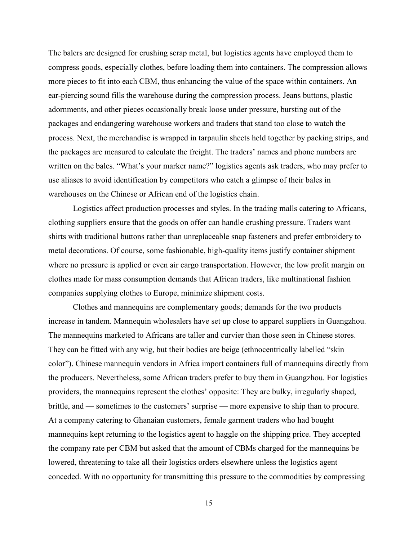The balers are designed for crushing scrap metal, but logistics agents have employed them to compress goods, especially clothes, before loading them into containers. The compression allows more pieces to fit into each CBM, thus enhancing the value of the space within containers. An ear-piercing sound fills the warehouse during the compression process. Jeans buttons, plastic adornments, and other pieces occasionally break loose under pressure, bursting out of the packages and endangering warehouse workers and traders that stand too close to watch the process. Next, the merchandise is wrapped in tarpaulin sheets held together by packing strips, and the packages are measured to calculate the freight. The traders' names and phone numbers are written on the bales. "What's your marker name?" logistics agents ask traders, who may prefer to use aliases to avoid identification by competitors who catch a glimpse of their bales in warehouses on the Chinese or African end of the logistics chain.

Logistics affect production processes and styles. In the trading malls catering to Africans, clothing suppliers ensure that the goods on offer can handle crushing pressure. Traders want shirts with traditional buttons rather than unreplaceable snap fasteners and prefer embroidery to metal decorations. Of course, some fashionable, high-quality items justify container shipment where no pressure is applied or even air cargo transportation. However, the low profit margin on clothes made for mass consumption demands that African traders, like multinational fashion companies supplying clothes to Europe, minimize shipment costs.

Clothes and mannequins are complementary goods; demands for the two products increase in tandem. Mannequin wholesalers have set up close to apparel suppliers in Guangzhou. The mannequins marketed to Africans are taller and curvier than those seen in Chinese stores. They can be fitted with any wig, but their bodies are beige (ethnocentrically labelled "skin color"). Chinese mannequin vendors in Africa import containers full of mannequins directly from the producers. Nevertheless, some African traders prefer to buy them in Guangzhou. For logistics providers, the mannequins represent the clothes' opposite: They are bulky, irregularly shaped, brittle, and — sometimes to the customers' surprise — more expensive to ship than to procure. At a company catering to Ghanaian customers, female garment traders who had bought mannequins kept returning to the logistics agent to haggle on the shipping price. They accepted the company rate per CBM but asked that the amount of CBMs charged for the mannequins be lowered, threatening to take all their logistics orders elsewhere unless the logistics agent conceded. With no opportunity for transmitting this pressure to the commodities by compressing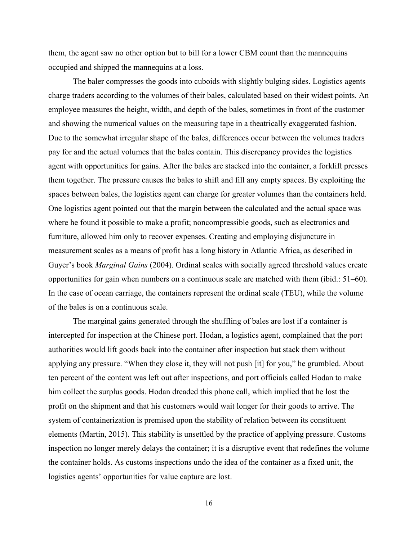them, the agent saw no other option but to bill for a lower CBM count than the mannequins occupied and shipped the mannequins at a loss.

The baler compresses the goods into cuboids with slightly bulging sides. Logistics agents charge traders according to the volumes of their bales, calculated based on their widest points. An employee measures the height, width, and depth of the bales, sometimes in front of the customer and showing the numerical values on the measuring tape in a theatrically exaggerated fashion. Due to the somewhat irregular shape of the bales, differences occur between the volumes traders pay for and the actual volumes that the bales contain. This discrepancy provides the logistics agent with opportunities for gains. After the bales are stacked into the container, a forklift presses them together. The pressure causes the bales to shift and fill any empty spaces. By exploiting the spaces between bales, the logistics agent can charge for greater volumes than the containers held. One logistics agent pointed out that the margin between the calculated and the actual space was where he found it possible to make a profit; noncompressible goods, such as electronics and furniture, allowed him only to recover expenses. Creating and employing disjuncture in measurement scales as a means of profit has a long history in Atlantic Africa, as described in Guyer's book *Marginal Gains* (2004). Ordinal scales with socially agreed threshold values create opportunities for gain when numbers on a continuous scale are matched with them (ibid.: 51–60). In the case of ocean carriage, the containers represent the ordinal scale (TEU), while the volume of the bales is on a continuous scale.

The marginal gains generated through the shuffling of bales are lost if a container is intercepted for inspection at the Chinese port. Hodan, a logistics agent, complained that the port authorities would lift goods back into the container after inspection but stack them without applying any pressure. "When they close it, they will not push [it] for you," he grumbled. About ten percent of the content was left out after inspections, and port officials called Hodan to make him collect the surplus goods. Hodan dreaded this phone call, which implied that he lost the profit on the shipment and that his customers would wait longer for their goods to arrive. The system of containerization is premised upon the stability of relation between its constituent elements (Martin, 2015). This stability is unsettled by the practice of applying pressure. Customs inspection no longer merely delays the container; it is a disruptive event that redefines the volume the container holds. As customs inspections undo the idea of the container as a fixed unit, the logistics agents' opportunities for value capture are lost.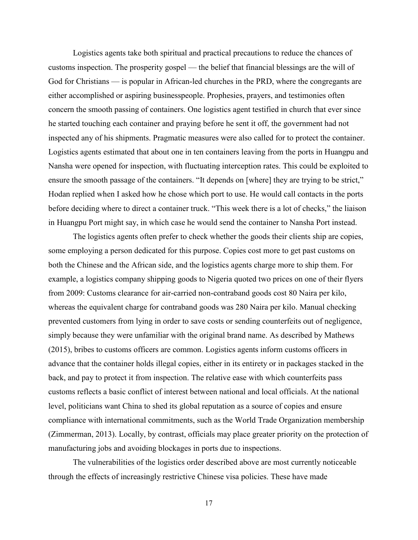Logistics agents take both spiritual and practical precautions to reduce the chances of customs inspection. The prosperity gospel — the belief that financial blessings are the will of God for Christians — is popular in African-led churches in the PRD, where the congregants are either accomplished or aspiring businesspeople. Prophesies, prayers, and testimonies often concern the smooth passing of containers. One logistics agent testified in church that ever since he started touching each container and praying before he sent it off, the government had not inspected any of his shipments. Pragmatic measures were also called for to protect the container. Logistics agents estimated that about one in ten containers leaving from the ports in Huangpu and Nansha were opened for inspection, with fluctuating interception rates. This could be exploited to ensure the smooth passage of the containers. "It depends on [where] they are trying to be strict," Hodan replied when I asked how he chose which port to use. He would call contacts in the ports before deciding where to direct a container truck. "This week there is a lot of checks," the liaison in Huangpu Port might say, in which case he would send the container to Nansha Port instead.

The logistics agents often prefer to check whether the goods their clients ship are copies, some employing a person dedicated for this purpose. Copies cost more to get past customs on both the Chinese and the African side, and the logistics agents charge more to ship them. For example, a logistics company shipping goods to Nigeria quoted two prices on one of their flyers from 2009: Customs clearance for air-carried non-contraband goods cost 80 Naira per kilo, whereas the equivalent charge for contraband goods was 280 Naira per kilo. Manual checking prevented customers from lying in order to save costs or sending counterfeits out of negligence, simply because they were unfamiliar with the original brand name. As described by Mathews (2015), bribes to customs officers are common. Logistics agents inform customs officers in advance that the container holds illegal copies, either in its entirety or in packages stacked in the back, and pay to protect it from inspection. The relative ease with which counterfeits pass customs reflects a basic conflict of interest between national and local officials. At the national level, politicians want China to shed its global reputation as a source of copies and ensure compliance with international commitments, such as the World Trade Organization membership (Zimmerman, 2013). Locally, by contrast, officials may place greater priority on the protection of manufacturing jobs and avoiding blockages in ports due to inspections.

The vulnerabilities of the logistics order described above are most currently noticeable through the effects of increasingly restrictive Chinese visa policies. These have made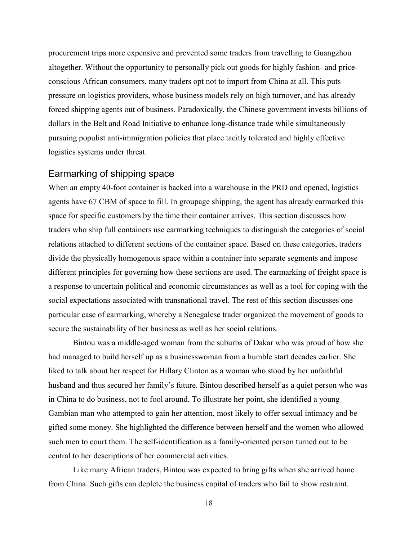procurement trips more expensive and prevented some traders from travelling to Guangzhou altogether. Without the opportunity to personally pick out goods for highly fashion- and priceconscious African consumers, many traders opt not to import from China at all. This puts pressure on logistics providers, whose business models rely on high turnover, and has already forced shipping agents out of business. Paradoxically, the Chinese government invests billions of dollars in the Belt and Road Initiative to enhance long-distance trade while simultaneously pursuing populist anti-immigration policies that place tacitly tolerated and highly effective logistics systems under threat.

## Earmarking of shipping space

When an empty 40-foot container is backed into a warehouse in the PRD and opened, logistics agents have 67 CBM of space to fill. In groupage shipping, the agent has already earmarked this space for specific customers by the time their container arrives. This section discusses how traders who ship full containers use earmarking techniques to distinguish the categories of social relations attached to different sections of the container space. Based on these categories, traders divide the physically homogenous space within a container into separate segments and impose different principles for governing how these sections are used. The earmarking of freight space is a response to uncertain political and economic circumstances as well as a tool for coping with the social expectations associated with transnational travel. The rest of this section discusses one particular case of earmarking, whereby a Senegalese trader organized the movement of goods to secure the sustainability of her business as well as her social relations.

Bintou was a middle-aged woman from the suburbs of Dakar who was proud of how she had managed to build herself up as a businesswoman from a humble start decades earlier. She liked to talk about her respect for Hillary Clinton as a woman who stood by her unfaithful husband and thus secured her family's future. Bintou described herself as a quiet person who was in China to do business, not to fool around. To illustrate her point, she identified a young Gambian man who attempted to gain her attention, most likely to offer sexual intimacy and be gifted some money. She highlighted the difference between herself and the women who allowed such men to court them. The self-identification as a family-oriented person turned out to be central to her descriptions of her commercial activities.

Like many African traders, Bintou was expected to bring gifts when she arrived home from China. Such gifts can deplete the business capital of traders who fail to show restraint.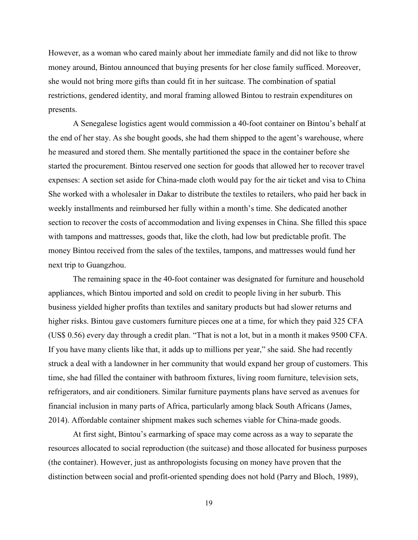However, as a woman who cared mainly about her immediate family and did not like to throw money around, Bintou announced that buying presents for her close family sufficed. Moreover, she would not bring more gifts than could fit in her suitcase. The combination of spatial restrictions, gendered identity, and moral framing allowed Bintou to restrain expenditures on presents.

A Senegalese logistics agent would commission a 40-foot container on Bintou's behalf at the end of her stay. As she bought goods, she had them shipped to the agent's warehouse, where he measured and stored them. She mentally partitioned the space in the container before she started the procurement. Bintou reserved one section for goods that allowed her to recover travel expenses: A section set aside for China-made cloth would pay for the air ticket and visa to China She worked with a wholesaler in Dakar to distribute the textiles to retailers, who paid her back in weekly installments and reimbursed her fully within a month's time. She dedicated another section to recover the costs of accommodation and living expenses in China. She filled this space with tampons and mattresses, goods that, like the cloth, had low but predictable profit. The money Bintou received from the sales of the textiles, tampons, and mattresses would fund her next trip to Guangzhou.

The remaining space in the 40-foot container was designated for furniture and household appliances, which Bintou imported and sold on credit to people living in her suburb. This business yielded higher profits than textiles and sanitary products but had slower returns and higher risks. Bintou gave customers furniture pieces one at a time, for which they paid 325 CFA (US\$ 0.56) every day through a credit plan. "That is not a lot, but in a month it makes 9500 CFA. If you have many clients like that, it adds up to millions per year," she said. She had recently struck a deal with a landowner in her community that would expand her group of customers. This time, she had filled the container with bathroom fixtures, living room furniture, television sets, refrigerators, and air conditioners. Similar furniture payments plans have served as avenues for financial inclusion in many parts of Africa, particularly among black South Africans (James, 2014). Affordable container shipment makes such schemes viable for China-made goods.

At first sight, Bintou's earmarking of space may come across as a way to separate the resources allocated to social reproduction (the suitcase) and those allocated for business purposes (the container). However, just as anthropologists focusing on money have proven that the distinction between social and profit-oriented spending does not hold (Parry and Bloch, 1989),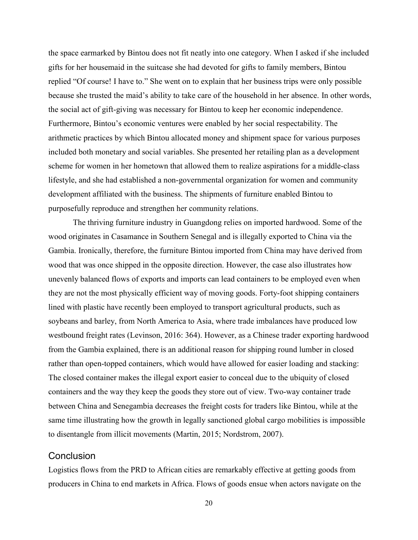the space earmarked by Bintou does not fit neatly into one category. When I asked if she included gifts for her housemaid in the suitcase she had devoted for gifts to family members, Bintou replied "Of course! I have to." She went on to explain that her business trips were only possible because she trusted the maid's ability to take care of the household in her absence. In other words, the social act of gift-giving was necessary for Bintou to keep her economic independence. Furthermore, Bintou's economic ventures were enabled by her social respectability. The arithmetic practices by which Bintou allocated money and shipment space for various purposes included both monetary and social variables. She presented her retailing plan as a development scheme for women in her hometown that allowed them to realize aspirations for a middle-class lifestyle, and she had established a non-governmental organization for women and community development affiliated with the business. The shipments of furniture enabled Bintou to purposefully reproduce and strengthen her community relations.

The thriving furniture industry in Guangdong relies on imported hardwood. Some of the wood originates in Casamance in Southern Senegal and is illegally exported to China via the Gambia. Ironically, therefore, the furniture Bintou imported from China may have derived from wood that was once shipped in the opposite direction. However, the case also illustrates how unevenly balanced flows of exports and imports can lead containers to be employed even when they are not the most physically efficient way of moving goods. Forty-foot shipping containers lined with plastic have recently been employed to transport agricultural products, such as soybeans and barley, from North America to Asia, where trade imbalances have produced low westbound freight rates (Levinson, 2016: 364). However, as a Chinese trader exporting hardwood from the Gambia explained, there is an additional reason for shipping round lumber in closed rather than open-topped containers, which would have allowed for easier loading and stacking: The closed container makes the illegal export easier to conceal due to the ubiquity of closed containers and the way they keep the goods they store out of view. Two-way container trade between China and Senegambia decreases the freight costs for traders like Bintou, while at the same time illustrating how the growth in legally sanctioned global cargo mobilities is impossible to disentangle from illicit movements (Martin, 2015; Nordstrom, 2007).

## Conclusion

Logistics flows from the PRD to African cities are remarkably effective at getting goods from producers in China to end markets in Africa. Flows of goods ensue when actors navigate on the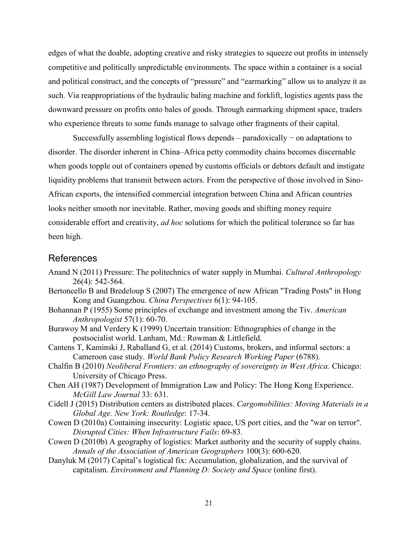edges of what the doable, adopting creative and risky strategies to squeeze out profits in intensely competitive and politically unpredictable environments. The space within a container is a social and political construct, and the concepts of "pressure" and "earmarking" allow us to analyze it as such. Via reappropriations of the hydraulic baling machine and forklift, logistics agents pass the downward pressure on profits onto bales of goods. Through earmarking shipment space, traders who experience threats to some funds manage to salvage other fragments of their capital.

Successfully assembling logistical flows depends – paradoxically − on adaptations to disorder. The disorder inherent in China–Africa petty commodity chains becomes discernable when goods topple out of containers opened by customs officials or debtors default and instigate liquidity problems that transmit between actors. From the perspective of those involved in Sino-African exports, the intensified commercial integration between China and African countries looks neither smooth nor inevitable. Rather, moving goods and shifting money require considerable effort and creativity, *ad hoc* solutions for which the political tolerance so far has been high.

# References

- Anand N (2011) Pressure: The politechnics of water supply in Mumbai. *Cultural Anthropology* 26(4): 542-564.
- Bertoncello B and Bredeloup S (2007) The emergence of new African "Trading Posts" in Hong Kong and Guangzhou. *China Perspectives* 6(1): 94-105.
- Bohannan P (1955) Some principles of exchange and investment among the Tiv. *American Anthropologist* 57(1): 60-70.
- Burawoy M and Verdery K (1999) Uncertain transition: Ethnographies of change in the postsocialist world. Lanham, Md.: Rowman & Littlefield.
- Cantens T, Kaminski J, Raballand G, et al. (2014) Customs, brokers, and informal sectors: a Cameroon case study. *World Bank Policy Research Working Paper* (6788).
- Chalfin B (2010) *Neoliberal Frontiers: an ethnography of sovereignty in West Africa.* Chicago: University of Chicago Press.
- Chen AH (1987) Development of Immigration Law and Policy: The Hong Kong Experience. *McGill Law Journal* 33: 631.
- Cidell J (2015) Distribution centers as distributed places. *Cargomobilities: Moving Materials in a Global Age. New York: Routledge*: 17-34.
- Cowen D (2010a) Containing insecurity: Logistic space, US port cities, and the "war on terror". *Disrupted Cities: When Infrastructure Fails*: 69-83.
- Cowen D (2010b) A geography of logistics: Market authority and the security of supply chains. *Annals of the Association of American Geographers* 100(3): 600-620.
- Danyluk M (2017) Capital's logistical fix: Accumulation, globalization, and the survival of capitalism. *Environment and Planning D: Society and Space* (online first).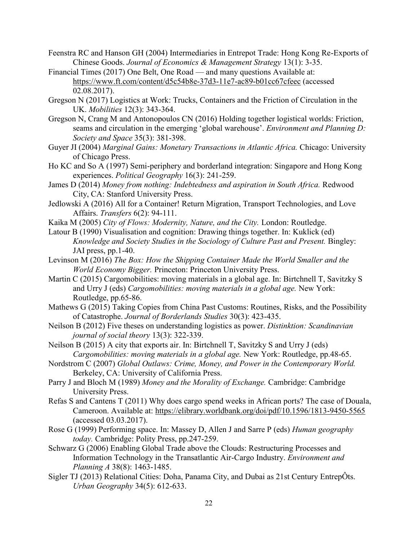- Feenstra RC and Hanson GH (2004) Intermediaries in Entrepot Trade: Hong Kong Re-Exports of Chinese Goods. *Journal of Economics & Management Strategy* 13(1): 3-35.
- Financial Times (2017) One Belt, One Road and many questions Available at: https://www.ft.com/content/d5c54b8e-37d3-11e7-ac89-b01cc67cfeec (accessed 02.08.2017).
- Gregson N (2017) Logistics at Work: Trucks, Containers and the Friction of Circulation in the UK. *Mobilities* 12(3): 343-364.
- Gregson N, Crang M and Antonopoulos CN (2016) Holding together logistical worlds: Friction, seams and circulation in the emerging 'global warehouse'. *Environment and Planning D: Society and Space* 35(3): 381-398.
- Guyer JI (2004) *Marginal Gains: Monetary Transactions in Atlantic Africa.* Chicago: University of Chicago Press.
- Ho KC and So A (1997) Semi-periphery and borderland integration: Singapore and Hong Kong experiences. *Political Geography* 16(3): 241-259.
- James D (2014) Money from nothing: Indebtedness and aspiration in South Africa. Redwood City, CA: Stanford University Press.
- Jedlowski A (2016) All for a Container! Return Migration, Transport Technologies, and Love Affairs. *Transfers* 6(2): 94-111.
- Kaika M (2005) *City of Flows: Modernity, Nature, and the City.* London: Routledge.
- Latour B (1990) Visualisation and cognition: Drawing things together. In: Kuklick (ed) *Knowledge and Society Studies in the Sociology of Culture Past and Present.* Bingley: JAI press, pp.1-40.
- Levinson M (2016) *The Box: How the Shipping Container Made the World Smaller and the World Economy Bigger.* Princeton: Princeton University Press.
- Martin C (2015) Cargomobilities: moving materials in a global age. In: Birtchnell T, Savitzky S and Urry J (eds) *Cargomobilities: moving materials in a global age.* New York: Routledge, pp.65-86.
- Mathews G (2015) Taking Copies from China Past Customs: Routines, Risks, and the Possibility of Catastrophe. *Journal of Borderlands Studies* 30(3): 423-435.
- Neilson B (2012) Five theses on understanding logistics as power. *Distinktion: Scandinavian journal of social theory* 13(3): 322-339.
- Neilson B (2015) A city that exports air. In: Birtchnell T, Savitzky S and Urry J (eds) *Cargomobilities: moving materials in a global age.* New York: Routledge, pp.48-65.
- Nordstrom C (2007) *Global Outlaws: Crime, Money, and Power in the Contemporary World.*  Berkeley, CA: University of California Press.
- Parry J and Bloch M (1989) *Money and the Morality of Exchange.* Cambridge: Cambridge University Press.
- Refas S and Cantens T (2011) Why does cargo spend weeks in African ports? The case of Douala, Cameroon. Available at: https://elibrary.worldbank.org/doi/pdf/10.1596/1813-9450-5565 (accessed 03.03.2017).
- Rose G (1999) Performing space. In: Massey D, Allen J and Sarre P (eds) *Human geography today.* Cambridge: Polity Press, pp.247-259.
- Schwarz G (2006) Enabling Global Trade above the Clouds: Restructuring Processes and Information Technology in the Transatlantic Air-Cargo Industry. *Environment and Planning A* 38(8): 1463-1485.
- Sigler TJ (2013) Relational Cities: Doha, Panama City, and Dubai as 21st Century EntrepÔts. *Urban Geography* 34(5): 612-633.